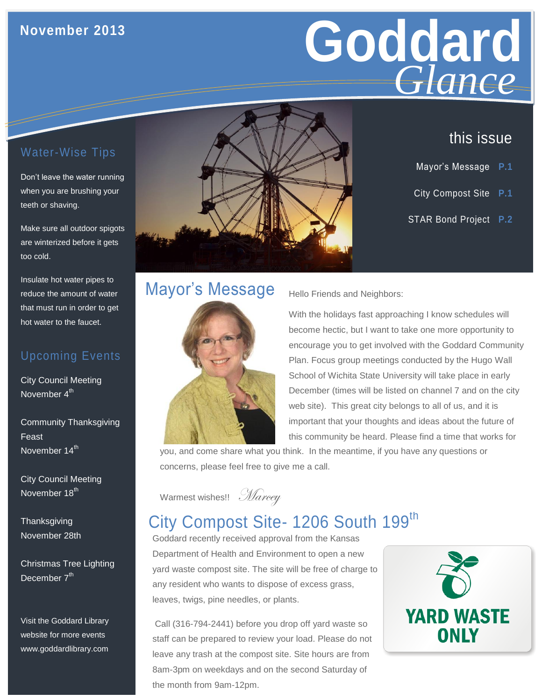## **November 2013**

# **Goddard Giance** *Glance*

## Water-Wise Tips

Don't leave the water running when you are brushing your teeth or shaving.

Make sure all outdoor spigots are winterized before it gets too cold.

Insulate hot water pipes to reduce the amount of water that must run in order to get hot water to the faucet.

#### Upcoming Events

City Council Meeting November 4<sup>th</sup>

Community Thanksgiving Feast November 14<sup>th</sup>

City Council Meeting November 18<sup>th</sup>

**Thanksgiving** November 28th

Christmas Tree Lighting December 7<sup>th</sup>

Visit the Goddard Library website for more events www.goddardlibrary.com



## this issue

- Mayor's Message **P.1**
- City Compost Site **P.1**
- STAR Bond Project **P.2**

# Mayor's Message



Hello Friends and Neighbors:

With the holidays fast approaching I know schedules will become hectic, but I want to take one more opportunity to encourage you to get involved with the Goddard Community Plan. Focus group meetings conducted by the Hugo Wall School of Wichita State University will take place in early December (times will be listed on channel 7 and on the city web site). This great city belongs to all of us, and it is important that your thoughts and ideas about the future of this community be heard. Please find a time that works for

you, and come share what you think. In the meantime, if you have any questions or concerns, please feel free to give me a call.

Warmest wishes!! Marcey

## City Compost Site- 1206 South 199<sup>th</sup>

Goddard recently received approval from the Kansas Department of Health and Environment to open a new yard waste compost site. The site will be free of charge to any resident who wants to dispose of excess grass, leaves, twigs, pine needles, or plants.

Call (316-794-2441) before you drop off yard waste so staff can be prepared to review your load. Please do not leave any trash at the compost site. Site hours are from 8am-3pm on weekdays and on the second Saturday of the month from 9am-12pm.